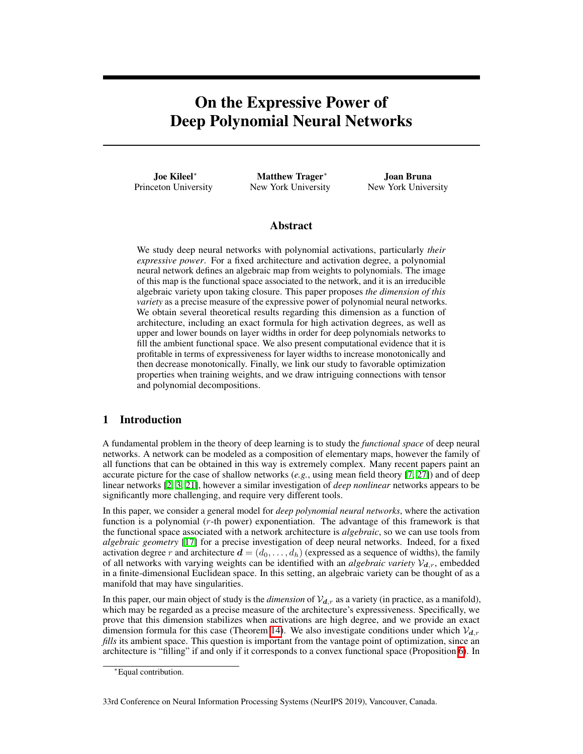# On the Expressive Power of Deep Polynomial Neural Networks

Joe Kileel<sup>\*</sup> Princeton University

Matthew Trager<sup>\*</sup> New York University

Joan Bruna New York University

# Abstract

We study deep neural networks with polynomial activations, particularly *their expressive power*. For a fixed architecture and activation degree, a polynomial neural network defines an algebraic map from weights to polynomials. The image of this map is the functional space associated to the network, and it is an irreducible algebraic variety upon taking closure. This paper proposes *the dimension of this variety* as a precise measure of the expressive power of polynomial neural networks. We obtain several theoretical results regarding this dimension as a function of architecture, including an exact formula for high activation degrees, as well as upper and lower bounds on layer widths in order for deep polynomials networks to fill the ambient functional space. We also present computational evidence that it is profitable in terms of expressiveness for layer widths to increase monotonically and then decrease monotonically. Finally, we link our study to favorable optimization properties when training weights, and we draw intriguing connections with tensor and polynomial decompositions.

# 1 Introduction

A fundamental problem in the theory of deep learning is to study the *functional space* of deep neural networks. A network can be modeled as a composition of elementary maps, however the family of all functions that can be obtained in this way is extremely complex. Many recent papers paint an accurate picture for the case of shallow networks (*e.g.*, using mean field theory  $[7, 27]$  $[7, 27]$  $[7, 27]$ ) and of deep linear networks [\[2,](#page-8-1) [3,](#page-8-2) [21\]](#page-9-1), however a similar investigation of *deep nonlinear* networks appears to be significantly more challenging, and require very different tools.

In this paper, we consider a general model for *deep polynomial neural networks*, where the activation function is a polynomial (*r*-th power) exponentiation. The advantage of this framework is that the functional space associated with a network architecture is *algebraic*, so we can use tools from *algebraic geometry* [\[17\]](#page-8-3) for a precise investigation of deep neural networks. Indeed, for a fixed activation degree r and architecture  $\mathbf{d} = (d_0, \ldots, d_h)$  (expressed as a sequence of widths), the family of all networks with varying weights can be identified with an *algebraic variety*  $V_{d,r}$ , embedded in a finite-dimensional Euclidean space. In this setting, an algebraic variety can be thought of as a manifold that may have singularities.

In this paper, our main object of study is the *dimension* of  $V_{d,r}$  as a variety (in practice, as a manifold), which may be regarded as a precise measure of the architecture's expressiveness. Specifically, we prove that this dimension stabilizes when activations are high degree, and we provide an exact dimension formula for this case (Theorem  $\overline{14}$ ). We also investigate conditions under which  $V_{d,r}$ *fills* its ambient space. This question is important from the vantage point of optimization, since an architecture is "filling" if and only if it corresponds to a convex functional space (Proposition  $\overline{6}$ ). In

33rd Conference on Neural Information Processing Systems (NeurIPS 2019), Vancouver, Canada.

<sup>⇤</sup>Equal contribution.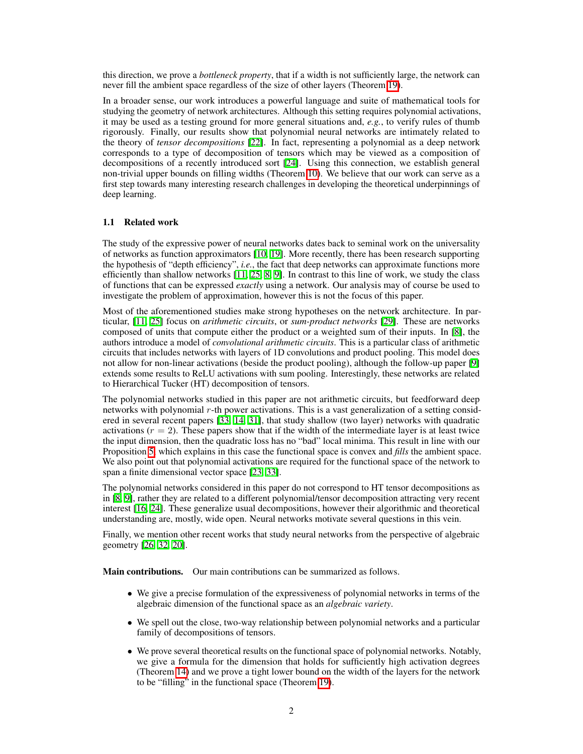this direction, we prove a *bottleneck property*, that if a width is not sufficiently large, the network can never fill the ambient space regardless of the size of other layers (Theorem  $\overline{19}$ ).

In a broader sense, our work introduces a powerful language and suite of mathematical tools for studying the geometry of network architectures. Although this setting requires polynomial activations, it may be used as a testing ground for more general situations and, *e.g.*, to verify rules of thumb rigorously. Finally, our results show that polynomial neural networks are intimately related to the theory of *tensor decompositions* [\[22\]](#page-9-2). In fact, representing a polynomial as a deep network corresponds to a type of decomposition of tensors which may be viewed as a composition of decompositions of a recently introduced sort  $[24]$ . Using this connection, we establish general non-trivial upper bounds on filling widths (Theorem  $\overline{10}$ ). We believe that our work can serve as a first step towards many interesting research challenges in developing the theoretical underpinnings of deep learning.

#### 1.1 Related work

The study of the expressive power of neural networks dates back to seminal work on the universality of networks as function approximators  $\begin{bmatrix} 1 & 0 \\ 0 & 1 \end{bmatrix}$ . More recently, there has been research supporting the hypothesis of "depth efficiency", *i.e.*, the fact that deep networks can approximate functions more efficiently than shallow networks  $\begin{bmatrix} 1 & 25 & 8 \\ 9 & 1 \end{bmatrix}$ . In contrast to this line of work, we study the class of functions that can be expressed *exactly* using a network. Our analysis may of course be used to investigate the problem of approximation, however this is not the focus of this paper.

Most of the aforementioned studies make strong hypotheses on the network architecture. In particular, [\[11,](#page-8-6) [25\]](#page-9-4) focus on *arithmetic circuits*, or *sum-product networks* [\[29\]](#page-9-5). These are networks composed of units that compute either the product or a weighted sum of their inputs. In  $[8]$ , the authors introduce a model of *convolutional arithmetic circuits*. This is a particular class of arithmetic circuits that includes networks with layers of 1D convolutions and product pooling. This model does not allow for non-linear activations (beside the product pooling), although the follow-up paper  $[9]$ extends some results to ReLU activations with sum pooling. Interestingly, these networks are related to Hierarchical Tucker (HT) decomposition of tensors.

The polynomial networks studied in this paper are not arithmetic circuits, but feedforward deep networks with polynomial *r*-th power activations. This is a vast generalization of a setting considered in several recent papers  $\left[\frac{33}{14}, \frac{31}{14}\right]$ , that study shallow (two layer) networks with quadratic activations  $(r = 2)$ . These papers show that if the width of the intermediate layer is at least twice the input dimension, then the quadratic loss has no "bad" local minima. This result in line with our Proposition  $\overline{5}$ , which explains in this case the functional space is convex and *fills* the ambient space. We also point out that polynomial activations are required for the functional space of the network to span a finite dimensional vector space [\[23,](#page-9-8) [33\]](#page-9-6).

The polynomial networks considered in this paper do not correspond to HT tensor decompositions as in  $[8, 9]$  $[8, 9]$  $[8, 9]$ , rather they are related to a different polynomial/tensor decomposition attracting very recent interest [\[16,](#page-8-10) [24\]](#page-9-3). These generalize usual decompositions, however their algorithmic and theoretical understanding are, mostly, wide open. Neural networks motivate several questions in this vein.

Finally, we mention other recent works that study neural networks from the perspective of algebraic geometry  $[26, 32, 20]$  $[26, 32, 20]$  $[26, 32, 20]$ .

Main contributions. Our main contributions can be summarized as follows.

- We give a precise formulation of the expressiveness of polynomial networks in terms of the algebraic dimension of the functional space as an *algebraic variety*.
- We spell out the close, two-way relationship between polynomial networks and a particular family of decompositions of tensors.
- We prove several theoretical results on the functional space of polynomial networks. Notably, we give a formula for the dimension that holds for sufficiently high activation degrees (Theorem  $\overline{14}$ ) and we prove a tight lower bound on the width of the layers for the network to be "filling" in the functional space (Theorem  $\boxed{19}$ ).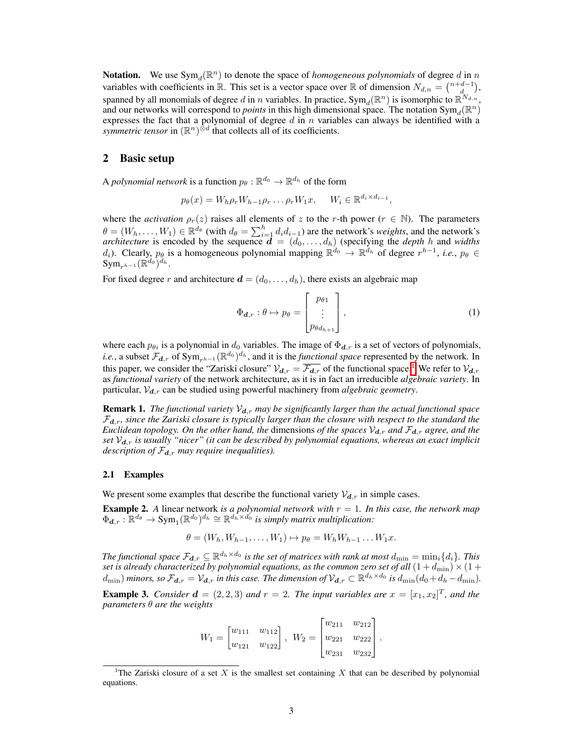**Notation.** We use  $Sym_d(\mathbb{R}^n)$  to denote the space of *homogeneous polynomials* of degree *d* in *n* variables with coefficients in R. This set is a vector space over R of dimension  $N_{d,n} = \binom{n+d-1}{d}$ , spanned by all monomials of degree *d* in *n* variables. In practice,  $Sym_d(\mathbb{R}^n)$  is isomorphic to  $\mathbb{R}^{N_{d,n}}$ , and our networks will correspond to *points* in this high dimensional space. The notation Sym<sub>d</sub>( $\mathbb{R}^n$ ) expresses the fact that a polynomial of degree *d* in *n* variables can always be identified with a *symmetric tensor* in  $(\mathbb{R}^n)^{\otimes d}$  that collects all of its coefficients.

# 2 Basic setup

A *polynomial network* is a function  $p_{\theta}: \mathbb{R}^{d_0} \to \mathbb{R}^{d_h}$  of the form

$$
p_{\theta}(x) = W_h \rho_r W_{h-1} \rho_r \dots \rho_r W_1 x, \quad W_i \in \mathbb{R}^{d_i \times d_{i-1}},
$$

where the *activation*  $\rho_r(z)$  raises all elements of *z* to the *r*-th power ( $r \in \mathbb{N}$ ). The parameters  $\theta = (W_h, \dots, W_1) \in \mathbb{R}^{d_\theta}$  (with  $d_\theta = \sum_{i=1}^h d_i d_{i-1}$ ) are the network's *weights*, and the network's *architecture* is encoded by the sequence  $\mathbf{d} = (d_0, \ldots, d_h)$  (specifying the *depth h* and *widths d*<sub>*i*</sub>). Clearly,  $p_{\theta}$  is a homogeneous polynomial mapping  $\mathbb{R}^{d_0} \to \mathbb{R}^{d_h}$  of degree  $r^{h-1}$ , *i.e.*,  $p_{\theta} \in$  $Sym_{n} ( \mathbb{R}^{d_0} )^{d_h}$ .

For fixed degree *r* and architecture  $d = (d_0, \ldots, d_h)$ , there exists an algebraic map

<span id="page-2-1"></span>
$$
\Phi_{\boldsymbol{d},r} : \theta \mapsto p_{\theta} = \begin{bmatrix} p_{\theta 1} \\ \vdots \\ p_{\theta d_{h+1}} \end{bmatrix},
$$
\n(1)

where each  $p_{\theta i}$  is a polynomial in  $d_0$  variables. The image of  $\Phi_{d,r}$  is a set of vectors of polynomials, *i.e.*, a subset  $\mathcal{F}_{d,r}$  of  $Sym_{r^{h-1}}(\mathbb{R}^{d_0})^{d_h}$ , and it is the *functional space* represented by the network. In this paper, we consider the "Zariski closure"  $V_{d,r} = \overline{\mathcal{F}_{d,r}}$  of the functional space.<sup>[1](#page-2-0)</sup> We refer to  $V_{d,r}$ as *functional variety* of the network architecture, as it is in fact an irreducible *algebraic variety*. In particular,  $V_{d,r}$  can be studied using powerful machinery from *algebraic geometry*.

<span id="page-2-2"></span>**Remark 1.** *The functional variety*  $V_{d,r}$  *may be significantly larger than the actual functional space*  $\mathcal{F}_{d,r}$ *, since the Zariski closure is typically larger than the closure with respect to the standard the Euclidean topology. On the other hand, the dimensions of the spaces*  $V_{d,r}$  *and*  $\mathcal{F}_{d,r}$  *agree, and the set Vd,r is usually "nicer" (it can be described by polynomial equations, whereas an exact implicit description of Fd,r may require inequalities).*

#### 2.1 Examples

We present some examples that describe the functional variety  $V_{d,r}$  in simple cases.

Example 2. *A* linear network *is a polynomial network with r* = 1*. In this case, the network map*  $\Phi_{d,r} : \mathbb{R}^{d_{\theta}} \to \text{Sym}_1(\mathbb{R}^{d_0})^{d_h} \cong \mathbb{R}^{d_h \times d_0}$  *is simply matrix multiplication:* 

$$
\theta = (W_h, W_{h-1}, \dots, W_1) \mapsto p_\theta = W_h W_{h-1} \dots W_1 x.
$$

*The functional space*  $\mathcal{F}_{d,r} \subseteq \mathbb{R}^{d_h \times d_0}$  *is the set of matrices with rank at most*  $d_{\min} = \min_i \{d_i\}$ *. This set is already characterized by polynomial equations, as the common zero set of all*  $(1+d_{\text{min}}) \times (1+d_{\text{min}})$  $(d_{\min})$  minors, so  $\mathcal{F}_{d,r} = \mathcal{V}_{d,r}$  in this case. The dimension of  $\mathcal{V}_{d,r} \subset \mathbb{R}^{d_h \times d_0}$  is  $d_{\min}(d_0 + d_h - d_{\min})$ .

**Example 3.** *Consider*  $\mathbf{d} = (2,2,3)$  *and*  $r = 2$ *. The input variables are*  $x = [x_1, x_2]^T$ *, and the parameters*  $\theta$  *are the weights* 

$$
W_1 = \begin{bmatrix} w_{111} & w_{112} \\ w_{121} & w_{122} \end{bmatrix}, \ W_2 = \begin{bmatrix} w_{211} & w_{212} \\ w_{221} & w_{222} \\ w_{231} & w_{232} \end{bmatrix}.
$$

<span id="page-2-0"></span><sup>&</sup>lt;sup>1</sup>The Zariski closure of a set  $X$  is the smallest set containing  $X$  that can be described by polynomial equations.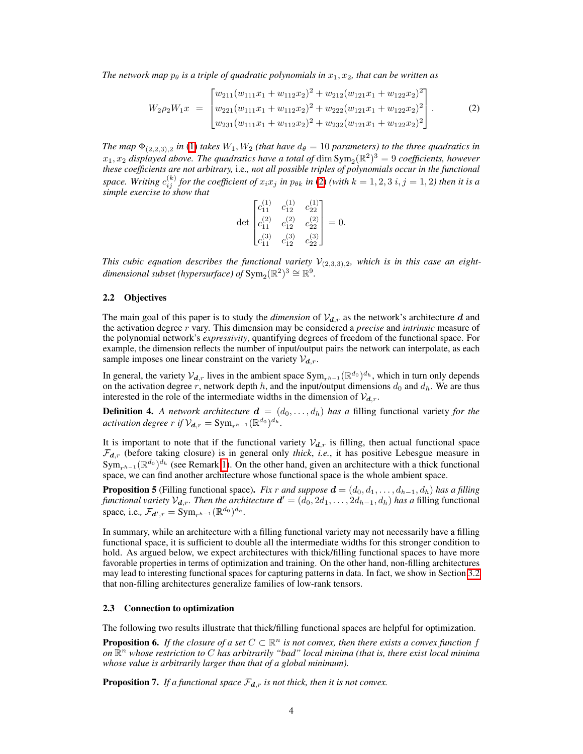*The network map*  $p_{\theta}$  *is a triple of quadratic polynomials in*  $x_1, x_2$ *, that can be written as* 

$$
W_2 \rho_2 W_1 x = \begin{bmatrix} w_{211}(w_{111}x_1 + w_{112}x_2)^2 + w_{212}(w_{121}x_1 + w_{122}x_2)^2 \\ w_{221}(w_{111}x_1 + w_{112}x_2)^2 + w_{222}(w_{121}x_1 + w_{122}x_2)^2 \\ w_{231}(w_{111}x_1 + w_{112}x_2)^2 + w_{232}(w_{121}x_1 + w_{122}x_2)^2 \end{bmatrix} .
$$
 (2)

*The map*  $\Phi_{(2,2,3),2}$  *in*  $\Pi$  *takes*  $W_1, W_2$  *(that have*  $d_\theta = 10$  *parameters) to the three quadratics in*  $x_1, x_2$  *displayed above. The quadratics have a total of* dim  $Sym_2(\mathbb{R}^2)^3 = 9$  *coefficients, however these coefficients are not arbitrary,* i.e.*, not all possible triples of polynomials occur in the functional* space. Writing  $c_{ij}^{(k)}$  for the coefficient of  $x_ix_j$  in  $p_{\theta k}$  in  $[2\hskip-3.5pt\ell]$  (with  $k=1,2,3$   $i,j=1,2$ ) then it is a *simple exercise to show that*

<span id="page-3-2"></span>
$$
\det \begin{bmatrix} c_{11}^{(1)} & c_{12}^{(1)} & c_{22}^{(1)} \\ c_{11}^{(2)} & c_{12}^{(2)} & c_{22}^{(2)} \\ c_{11}^{(3)} & c_{12}^{(3)} & c_{22}^{(3)} \end{bmatrix} = 0.
$$

*This cubic equation describes the functional variety*  $V_{(2,3,3),2}$ *, which is in this case an eightdimensional subset (hypersurface) of*  $Sym<sub>2</sub>(\mathbb{R}^2)^3 \cong \mathbb{R}^9$ .

# 2.2 Objectives

The main goal of this paper is to study the *dimension* of  $V_{d,r}$  as the network's architecture *d* and the activation degree *r* vary. This dimension may be considered a *precise* and *intrinsic* measure of the polynomial network's *expressivity*, quantifying degrees of freedom of the functional space. For example, the dimension reflects the number of input/output pairs the network can interpolate, as each sample imposes one linear constraint on the variety  $V_{d,r}$ .

In general, the variety  $V_{d,r}$  lives in the ambient space  $Sym_{r^{h-1}}(\mathbb{R}^{d_0})^{d_h}$ , which in turn only depends on the activation degree  $r$ , network depth  $h$ , and the input/output dimensions  $d_0$  and  $d_h$ . We are thus interested in the role of the intermediate widths in the dimension of  $V_{d,r}$ .

**Definition 4.** A network architecture  $\mathbf{d} = (d_0, \ldots, d_h)$  has a filling functional variety for the *activation degree*  $r$  *if*  $V_{d,r} = \text{Sym}_{r^{h-1}} (\mathbb{R}^{d_0})^{d_h}$ .

It is important to note that if the functional variety  $V_{d,r}$  is filling, then actual functional space  $\mathcal{F}_{d,r}$  (before taking closure) is in general only *thick*, *i.e.*, it has positive Lebesgue measure in  $Sym_{r^{h-1}}(\mathbb{R}^{d_0})^{d_h}$  (see Remark [1\)](#page-2-2). On the other hand, given an architecture with a thick functional space, we can find another architecture whose functional space is the whole ambient space.

<span id="page-3-1"></span>**Proposition 5** (Filling functional space). *Fix r* and suppose  $\mathbf{d} = (d_0, d_1, \ldots, d_{h-1}, d_h)$  has a filling *functional variety*  $V_{d,r}$ *. Then the architecture*  $d' = (d_0, 2d_1, \ldots, 2d_{h-1}, d_h)$  *has a* filling functional space, i.e.,  $\mathcal{F}_{d',r} = \text{Sym}_{r^{h-1}} (\mathbb{R}^{d_0})^{d_h}$ .

In summary, while an architecture with a filling functional variety may not necessarily have a filling functional space, it is sufficient to double all the intermediate widths for this stronger condition to hold. As argued below, we expect architectures with thick/filling functional spaces to have more favorable properties in terms of optimization and training. On the other hand, non-filling architectures may lead to interesting functional spaces for capturing patterns in data. In fact, we show in Section  $\overline{3.2}$ that non-filling architectures generalize families of low-rank tensors.

#### 2.3 Connection to optimization

The following two results illustrate that thick/filling functional spaces are helpful for optimization.

<span id="page-3-0"></span>**Proposition 6.** *If the closure of a set*  $C \subset \mathbb{R}^n$  *is not convex, then there exists a convex function f on* R*<sup>n</sup> whose restriction to C has arbitrarily "bad" local minima (that is, there exist local minima whose value is arbitrarily larger than that of a global minimum).*

**Proposition 7.** *If a functional space*  $\mathcal{F}_{d,r}$  *is not thick, then it is not convex.*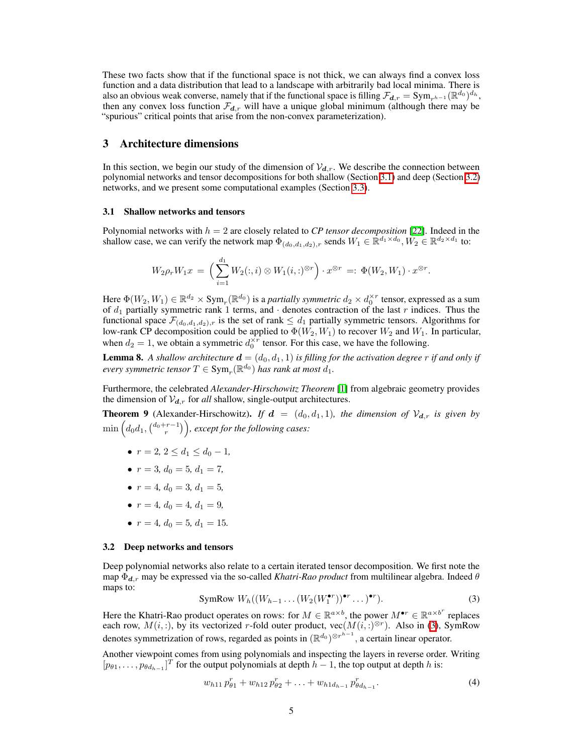These two facts show that if the functional space is not thick, we can always find a convex loss function and a data distribution that lead to a landscape with arbitrarily bad local minima. There is also an obvious weak converse, namely that if the functional space is filling  $\mathcal{F}_{d,r} = \text{Sym}_{r^{h-1}}(\mathbb{R}^{d_0})^{d_h}$ , then any convex loss function  $\mathcal{F}_{d,r}$  will have a unique global minimum (although there may be "spurious" critical points that arise from the non-convex parameterization).

# 3 Architecture dimensions

In this section, we begin our study of the dimension of  $V_{d,r}$ . We describe the connection between polynomial networks and tensor decompositions for both shallow (Section  $\overline{3.1}$ ) and deep (Section  $\overline{3.2}$ ) networks, and we present some computational examples (Section  $[3.3]$ ).

#### <span id="page-4-1"></span>3.1 Shallow networks and tensors

Polynomial networks with *h* = 2 are closely related to *CP tensor decomposition* [\[22\]](#page-9-2). Indeed in the shallow case, we can verify the network map  $\Phi_{(d_0,d_1,d_2),r}$  sends  $W_1 \in \mathbb{R}^{d_1 \times d_0}, W_2 \in \mathbb{R}^{d_2 \times d_1}$  to:

$$
W_2 \rho_r W_1 x = \left(\sum_{i=1}^{d_1} W_2(:,i) \otimes W_1(i,:)^{\otimes r}\right) \cdot x^{\otimes r} =: \Phi(W_2, W_1) \cdot x^{\otimes r}.
$$

Here  $\Phi(W_2, W_1) \in \mathbb{R}^{d_2} \times \text{Sym}_r(\mathbb{R}^{d_0})$  is a *partially symmetric*  $d_2 \times d_0^{\times r}$  tensor, expressed as a sum of *d*<sup>1</sup> partially symmetric rank 1 terms, and *·* denotes contraction of the last *r* indices. Thus the functional space  $\mathcal{F}_{(d_0,d_1,d_2),r}$  is the set of rank  $\leq d_1$  partially symmetric tensors. Algorithms for low-rank CP decomposition could be applied to  $\Phi(W_2, W_1)$  to recover  $W_2$  and  $W_1$ . In particular, when  $d_2 = 1$ , we obtain a symmetric  $d_0^{\times r}$  tensor. For this case, we have the following.

**Lemma 8.** A shallow architecture  $\mathbf{d} = (d_0, d_1, 1)$  is filling for the activation degree r if and only if *every symmetric tensor*  $T \in Sym_r(\mathbb{R}^{d_0})$  *has rank at most*  $d_1$ *.* 

Furthermore, the celebrated *Alexander-Hirschowitz Theorem* [\[1\]](#page-8-12) from algebraic geometry provides the dimension of  $V_{d,r}$  for *all* shallow, single-output architectures.

**Theorem 9** (Alexander-Hirschowitz). *If*  $d = (d_0, d_1, 1)$ *, the dimension of*  $V_{d,r}$  *is given by*  $\min\left(d_0d_1,\binom{d_0+r-1}{r}\right)$ , except for the following cases:

- $r = 2, 2 \le d_1 \le d_0 1$ ,
- $r = 3, d_0 = 5, d_1 = 7,$
- $r = 4$ ,  $d_0 = 3$ ,  $d_1 = 5$ ,
- $r = 4, d_0 = 4, d_1 = 9,$
- $r = 4$ ,  $d_0 = 5$ ,  $d_1 = 15$ .

#### <span id="page-4-0"></span>3.2 Deep networks and tensors

<span id="page-4-2"></span>Deep polynomial networks also relate to a certain iterated tensor decomposition. We first note the map  $\Phi_{d,r}$  may be expressed via the so-called *Khatri-Rao product* from multilinear algebra. Indeed  $\theta$ maps to:

$$
\text{SymRow } W_h((W_{h-1}\dots(W_2(W_1^{\bullet r}))^{\bullet r}\dots)^{\bullet r}).\tag{3}
$$

Here the Khatri-Rao product operates on rows: for  $M \in \mathbb{R}^{a \times b}$ , the power  $M^{\bullet r} \in \mathbb{R}^{a \times b^r}$  replaces each row,  $M(i, :)$ , by its vectorized *r*-fold outer product, vec $(M(i, :)^{\otimes r})$ . Also in  $\overline{3}$ , SymRow denotes symmetrization of rows, regarded as points in  $(\mathbb{R}^{d_0})^{\otimes r^{h-1}}$ , a certain linear operator.

Another viewpoint comes from using polynomials and inspecting the layers in reverse order. Writing  $[p_{\theta 1}, \ldots, p_{\theta d_{h-1}}]^T$  for the output polynomials at depth  $h-1$ , the top output at depth  $h$  is:

<span id="page-4-3"></span>
$$
w_{h11}p_{\theta1}^r + w_{h12}p_{\theta2}^r + \ldots + w_{h1d_{h-1}}p_{\theta d_{h-1}}^r.
$$
\n(4)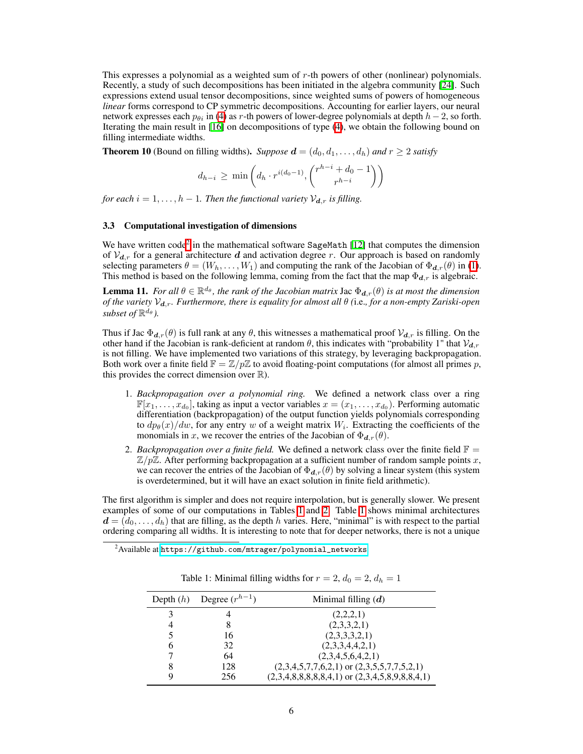This expresses a polynomial as a weighted sum of *r*-th powers of other (nonlinear) polynomials. Recently, a study of such decompositions has been initiated in the algebra community [\[24\]](#page-9-3). Such expressions extend usual tensor decompositions, since weighted sums of powers of homogeneous *linear* forms correspond to CP symmetric decompositions. Accounting for earlier layers, our neural network expresses each  $p_{\theta i}$  in [\(4\)](#page-4-3) as *r*-th powers of lower-degree polynomials at depth  $h-2$ , so forth. Iterating the main result in  $\|\overline{\mathbf{l}\mathbf{0}}\|$  on decompositions of type  $\|\overline{\mathbf{l}\mathbf{0}}\|$ , we obtain the following bound on filling intermediate widths.

<span id="page-5-0"></span>**Theorem 10** (Bound on filling widths). Suppose  $d = (d_0, d_1, \ldots, d_h)$  and  $r \geq 2$  satisfy

$$
d_{h-i} \ge \min\left(d_h \cdot r^{i(d_0-1)}, \binom{r^{h-i} + d_0 - 1}{r^{h-i}}\right)
$$

*for each*  $i = 1, \ldots, h - 1$ *. Then the functional variety*  $V_{d,r}$  *is filling.* 

#### <span id="page-5-1"></span>3.3 Computational investigation of dimensions

We have written code<sup>[2](#page-5-2)</sup> in the mathematical software SageMath  $\sqrt{12}$  that computes the dimension of  $V_{d,r}$  for a general architecture *d* and activation degree *r*. Our approach is based on randomly selecting parameters  $\theta = (W_h, \ldots, W_1)$  and computing the rank of the Jacobian of  $\Phi_{d,r}(\theta)$  in  $\Pi$ . This method is based on the following lemma, coming from the fact that the map  $\Phi_{d,r}$  is algebraic.

**Lemma 11.** *For all*  $\theta \in \mathbb{R}^{d_{\theta}}$ , the rank of the Jacobian matrix Jac  $\Phi_{d,r}(\theta)$  is at most the dimension *of the variety*  $V_{d,r}$ *. Furthermore, there is equality for almost all*  $\theta$  (i.e., for a non-empty Zariski-open *subset of*  $\mathbb{R}^{d_{\theta}}$ *).* 

Thus if Jac  $\Phi_{d,r}(\theta)$  is full rank at any  $\theta$ , this witnesses a mathematical proof  $V_{d,r}$  is filling. On the other hand if the Jacobian is rank-deficient at random  $\theta$ , this indicates with "probability 1" that  $V_{d,r}$ is not filling. We have implemented two variations of this strategy, by leveraging backpropagation. Both work over a finite field  $\mathbb{F} = \mathbb{Z}/p\mathbb{Z}$  to avoid floating-point computations (for almost all primes p, this provides the correct dimension over  $\mathbb{R}$ ).

- 1. *Backpropagation over a polynomial ring.* We defined a network class over a ring  $\mathbb{F}[x_1,\ldots,x_{d_0}]$ , taking as input a vector variables  $x=(x_1,\ldots,x_{d_0})$ . Performing automatic differentiation (backpropagation) of the output function yields polynomials corresponding to  $dp_{\theta}(x)/dw$ , for any entry *w* of a weight matrix  $W_i$ . Extracting the coefficients of the monomials in *x*, we recover the entries of the Jacobian of  $\Phi_{d,r}(\theta)$ .
- 2. *Backpropagation over a finite field.* We defined a network class over the finite field  $\mathbb{F}$  = Z*/p*Z. After performing backpropagation at a sufficient number of random sample points *x*, we can recover the entries of the Jacobian of  $\Phi_{d,r}(\theta)$  by solving a linear system (this system is overdetermined, but it will have an exact solution in finite field arithmetic).

The first algorithm is simpler and does not require interpolation, but is generally slower. We present examples of some of our computations in Tables  $\prod$  and  $\prod$  Table  $\prod$  shows minimal architectures  $d = (d_0, \ldots, d_h)$  that are filling, as the depth *h* varies. Here, "minimal" is with respect to the partial ordering comparing all widths. It is interesting to note that for deeper networks, there is not a unique

<span id="page-5-3"></span><span id="page-5-2"></span><sup>2</sup> Available at [https://github.com/mtrager/polynomial\\_networks](https://github.com/mtrager/polynomial_networks).

|   | Depth $(h)$ Degree $(r^{h-1})$ | Minimal filling $(d)$                              |  |  |
|---|--------------------------------|----------------------------------------------------|--|--|
| 3 |                                | (2,2,2,1)                                          |  |  |
| 4 |                                | (2,3,3,2,1)                                        |  |  |
| 5 | 16                             | (2,3,3,3,2,1)                                      |  |  |
| 6 | 32                             | (2,3,3,4,4,2,1)                                    |  |  |
| 7 | 64                             | (2,3,4,5,6,4,2,1)                                  |  |  |
| 8 | 128                            | $(2,3,4,5,7,7,6,2,1)$ or $(2,3,5,5,7,7,5,2,1)$     |  |  |
| Q | 256                            | $(2,3,4,8,8,8,8,8,4,1)$ or $(2,3,4,5,8,9,8,8,4,1)$ |  |  |

Table 1: Minimal filling widths for  $r = 2$ ,  $d_0 = 2$ ,  $d_h = 1$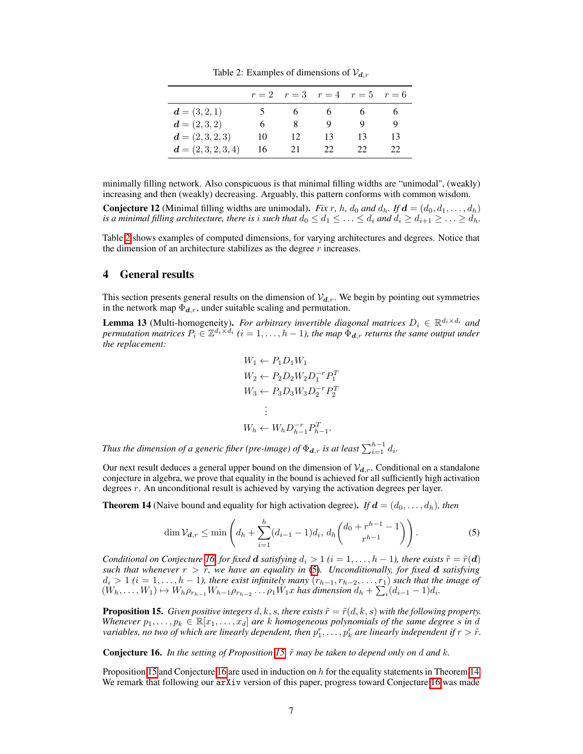Table 2: Examples of dimensions of  $V_{d,r}$ 

<span id="page-6-1"></span>

|                       |    |                | $r=2$ $r=3$ $r=4$ $r=5$ $r=6$ |          |     |
|-----------------------|----|----------------|-------------------------------|----------|-----|
| $d = (3, 2, 1)$       |    | 6 <sup>1</sup> | $\sqrt{6}$                    | $\sim$ 0 |     |
| $d = (2,3,2)$         | 6  | x              |                               |          |     |
| $d = (2, 3, 2, 3)$    | 10 | 12             | 13                            | 13       | 13  |
| $d = (2, 3, 2, 3, 4)$ | 16 | 21             | 22                            | 22       | 22. |

minimally filling network. Also conspicuous is that minimal filling widths are "unimodal", (weakly) increasing and then (weakly) decreasing. Arguably, this pattern conforms with common wisdom.

Conjecture 12 (Minimal filling widths are unimodal). *Fix r, h, d*<sub>0</sub> *and*  $d_h$ *. If*  $d = (d_0, d_1, \ldots, d_h)$ *is a minimal filling architecture, there is <i>i* such that  $d_0 \leq d_1 \leq \ldots \leq d_i$  and  $d_i \geq d_{i+1} \geq \ldots \geq d_h$ .

Table  $\sqrt{2}$  shows examples of computed dimensions, for varying architectures and degrees. Notice that the dimension of an architecture stabilizes as the degree *r* increases.

## 4 General results

This section presents general results on the dimension of  $V_{d,r}$ . We begin by pointing out symmetries in the network map  $\Phi_{d,r}$ , under suitable scaling and permutation.

**Lemma 13** (Multi-homogeneity). *For arbitrary invertible diagonal matrices*  $D_i \in \mathbb{R}^{d_i \times d_i}$  *and permutation matrices*  $P_i \in \mathbb{Z}^{d_i \times d_i}$   $(i = 1, \ldots, h-1)$ , the map  $\Phi_{d,r}$  *returns the same output under the replacement:*

<span id="page-6-3"></span>
$$
W_1 \leftarrow P_1 D_1 W_1
$$
  
\n
$$
W_2 \leftarrow P_2 D_2 W_2 D_1^{-r} P_1^T
$$
  
\n
$$
W_3 \leftarrow P_3 D_3 W_3 D_2^{-r} P_2^T
$$
  
\n:  
\n
$$
W_h \leftarrow W_h D_{h-1}^{-r} P_{h-1}^T.
$$

*Thus the dimension of a generic fiber (pre-image) of*  $\Phi_{\boldsymbol{d},r}$  *is at least*  $\sum_{i=1}^{h-1} d_i$ *.* 

Our next result deduces a general upper bound on the dimension of  $V_{d,r}$ . Conditional on a standalone conjecture in algebra, we prove that equality in the bound is achieved for all sufficiently high activation degrees *r*. An unconditional result is achieved by varying the activation degrees per layer.

<span id="page-6-0"></span>**Theorem 14** (Naive bound and equality for high activation degree). *If*  $d = (d_0, \ldots, d_h)$ *, then* 

$$
\dim \mathcal{V}_{d,r} \le \min \left( d_h + \sum_{i=1}^h (d_{i-1} - 1) d_i, \, d_h \binom{d_0 + r^{h-1} - 1}{r^{h-1}} \right). \tag{5}
$$

*Conditional on Conjecture*  $\overline{16}$  *for fixed d satisfying*  $d_i > 1$  ( $i = 1, ..., h - 1$ ), there exists  $\tilde{r} = \tilde{r}(d)$ *such that whenever*  $r > \overline{r}$ , we have an equality in  $(5)$ . Unconditionally, for fixed **d** satisfying  $d_i > 1$  ( $i = 1, \ldots, h-1$ ), there exist infinitely many  $(r_{h-1}, r_{h-2}, \ldots, r_1)$  *such that the image of*  $(W_h, \ldots, W_1) \mapsto W_h \rho_{r_{h-1}} W_{h-1} \rho_{r_{h-2}} \ldots \rho_1 W_1 x$  has dimension  $d_h + \sum_i (d_{i-1} - 1) d_i$ .

<span id="page-6-4"></span>**Proposition 15.** *Given positive integers*  $d, k, s$ *, there exists*  $\tilde{r} = \tilde{r}(d, k, s)$  *with the following property. Whenever*  $p_1, \ldots, p_k \in \mathbb{R}[x_1, \ldots, x_d]$  *are k homogeneous polynomials of the same degree s in d variables, no two of which are linearly dependent, then*  $p_1^r, \ldots, p_k^r$  *are linearly independent if*  $r > \tilde{r}$ *.* 

<span id="page-6-2"></span>**Conjecture 16.** *In the setting of Proposition*  $\overline{15}$ ,  $\tilde{r}$  *may be taken to depend only on d and k.* 

Proposition  $\overline{15}$  and Conjecture  $\overline{16}$  are used in induction on *h* for the equality statements in Theorem  $\overline{14}$ . We remark that following our arXiv version of this paper, progress toward Conjecture <sup>16</sup> was made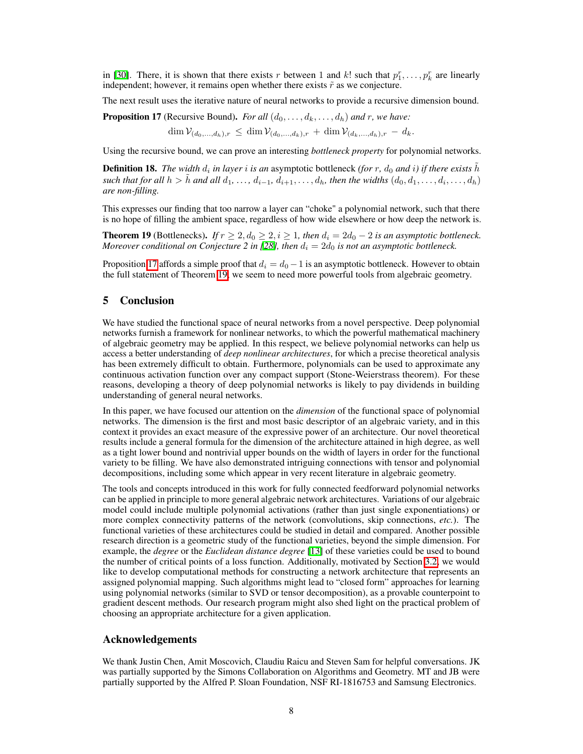in [\[30\]](#page-9-11). There, it is shown that there exists *r* between 1 and *k*! such that  $p_1^r, \ldots, p_k^r$  are linearly independent; however, it remains open whether there exists  $\tilde{r}$  as we conjecture.

The next result uses the iterative nature of neural networks to provide a recursive dimension bound.

<span id="page-7-1"></span>**Proposition 17** (Recursive Bound). *For all*  $(d_0, \ldots, d_k, \ldots, d_h)$  *and r, we have:* 

$$
\dim \mathcal{V}_{(d_0,...,d_h),r} \leq \dim \mathcal{V}_{(d_0,...,d_k),r} + \dim \mathcal{V}_{(d_k,...,d_h),r} - d_k.
$$

Using the recursive bound, we can prove an interesting *bottleneck property* for polynomial networks.

**Definition 18.** *The width*  $d_i$  *in layer i is an* asymptotic bottleneck *(for r*,  $d_0$  *and i*) *if there exists*  $\tilde{h}$ such that for all  $h > \tilde{h}$  and all  $d_1, \ldots, d_{i-1}, d_{i+1}, \ldots, d_h$ , then the widths  $(d_0, d_1, \ldots, d_i, \ldots, d_h)$ *are non-filling.*

This expresses our finding that too narrow a layer can "choke" a polynomial network, such that there is no hope of filling the ambient space, regardless of how wide elsewhere or how deep the network is.

<span id="page-7-0"></span>**Theorem 19** (Bottlenecks). *If*  $r \geq 2, d_0 \geq 2, i \geq 1$ , then  $d_i = 2d_0 - 2$  *is an asymptotic bottleneck. Moreover conditional on Conjecture 2 in*  $[28]$ *, then*  $d_i = 2d_0$  *is not an asymptotic bottleneck.* 

Proposition  $\boxed{17}$  affords a simple proof that  $d_i = d_0 - 1$  is an asymptotic bottleneck. However to obtain the full statement of Theorem <sup>19</sup>, we seem to need more powerful tools from algebraic geometry.

#### 5 Conclusion

We have studied the functional space of neural networks from a novel perspective. Deep polynomial networks furnish a framework for nonlinear networks, to which the powerful mathematical machinery of algebraic geometry may be applied. In this respect, we believe polynomial networks can help us access a better understanding of *deep nonlinear architectures*, for which a precise theoretical analysis has been extremely difficult to obtain. Furthermore, polynomials can be used to approximate any continuous activation function over any compact support (Stone-Weierstrass theorem). For these reasons, developing a theory of deep polynomial networks is likely to pay dividends in building understanding of general neural networks.

In this paper, we have focused our attention on the *dimension* of the functional space of polynomial networks. The dimension is the first and most basic descriptor of an algebraic variety, and in this context it provides an exact measure of the expressive power of an architecture. Our novel theoretical results include a general formula for the dimension of the architecture attained in high degree, as well as a tight lower bound and nontrivial upper bounds on the width of layers in order for the functional variety to be filling. We have also demonstrated intriguing connections with tensor and polynomial decompositions, including some which appear in very recent literature in algebraic geometry.

The tools and concepts introduced in this work for fully connected feedforward polynomial networks can be applied in principle to more general algebraic network architectures. Variations of our algebraic model could include multiple polynomial activations (rather than just single exponentiations) or more complex connectivity patterns of the network (convolutions, skip connections, *etc.*). The functional varieties of these architectures could be studied in detail and compared. Another possible research direction is a geometric study of the functional varieties, beyond the simple dimension. For example, the *degree* or the *Euclidean distance degree* [\[13\]](#page-8-14) of these varieties could be used to bound the number of critical points of a loss function. Additionally, motivated by Section  $\overline{3.2}$ , we would like to develop computational methods for constructing a network architecture that represents an assigned polynomial mapping. Such algorithms might lead to "closed form" approaches for learning using polynomial networks (similar to SVD or tensor decomposition), as a provable counterpoint to gradient descent methods. Our research program might also shed light on the practical problem of choosing an appropriate architecture for a given application.

#### Acknowledgements

We thank Justin Chen, Amit Moscovich, Claudiu Raicu and Steven Sam for helpful conversations. JK was partially supported by the Simons Collaboration on Algorithms and Geometry. MT and JB were partially supported by the Alfred P. Sloan Foundation, NSF RI-1816753 and Samsung Electronics.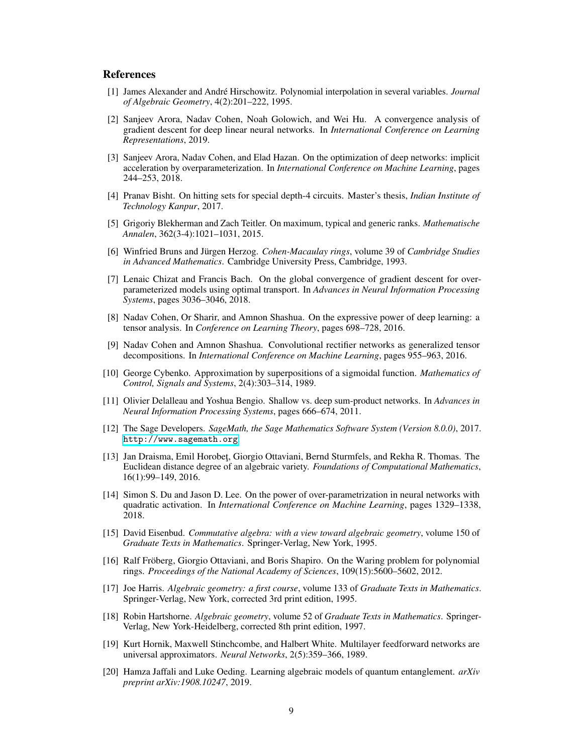## References

- <span id="page-8-12"></span>[1] James Alexander and André Hirschowitz. Polynomial interpolation in several variables. *Journal of Algebraic Geometry*, 4(2):201–222, 1995.
- <span id="page-8-1"></span>[2] Sanjeev Arora, Nadav Cohen, Noah Golowich, and Wei Hu. A convergence analysis of gradient descent for deep linear neural networks. In *International Conference on Learning Representations*, 2019.
- <span id="page-8-2"></span>[3] Sanjeev Arora, Nadav Cohen, and Elad Hazan. On the optimization of deep networks: implicit acceleration by overparameterization. In *International Conference on Machine Learning*, pages 244–253, 2018.
- [4] Pranav Bisht. On hitting sets for special depth-4 circuits. Master's thesis, *Indian Institute of Technology Kanpur*, 2017.
- [5] Grigoriy Blekherman and Zach Teitler. On maximum, typical and generic ranks. *Mathematische Annalen*, 362(3-4):1021–1031, 2015.
- [6] Winfried Bruns and Jürgen Herzog. *Cohen-Macaulay rings*, volume 39 of *Cambridge Studies in Advanced Mathematics*. Cambridge University Press, Cambridge, 1993.
- <span id="page-8-0"></span>[7] Lenaic Chizat and Francis Bach. On the global convergence of gradient descent for overparameterized models using optimal transport. In *Advances in Neural Information Processing Systems*, pages 3036–3046, 2018.
- <span id="page-8-7"></span>[8] Nadav Cohen, Or Sharir, and Amnon Shashua. On the expressive power of deep learning: a tensor analysis. In *Conference on Learning Theory*, pages 698–728, 2016.
- <span id="page-8-8"></span>[9] Nadav Cohen and Amnon Shashua. Convolutional rectifier networks as generalized tensor decompositions. In *International Conference on Machine Learning*, pages 955–963, 2016.
- <span id="page-8-4"></span>[10] George Cybenko. Approximation by superpositions of a sigmoidal function. *Mathematics of Control, Signals and Systems*, 2(4):303–314, 1989.
- <span id="page-8-6"></span>[11] Olivier Delalleau and Yoshua Bengio. Shallow vs. deep sum-product networks. In *Advances in Neural Information Processing Systems*, pages 666–674, 2011.
- <span id="page-8-13"></span>[12] The Sage Developers. *SageMath, the Sage Mathematics Software System (Version 8.0.0)*, 2017. <http://www.sagemath.org>.
- <span id="page-8-14"></span>[13] Jan Draisma, Emil Horobet, Giorgio Ottaviani, Bernd Sturmfels, and Rekha R. Thomas. The Euclidean distance degree of an algebraic variety. *Foundations of Computational Mathematics*, 16(1):99–149, 2016.
- <span id="page-8-9"></span>[14] Simon S. Du and Jason D. Lee. On the power of over-parametrization in neural networks with quadratic activation. In *International Conference on Machine Learning*, pages 1329–1338, 2018.
- [15] David Eisenbud. *Commutative algebra: with a view toward algebraic geometry*, volume 150 of *Graduate Texts in Mathematics*. Springer-Verlag, New York, 1995.
- <span id="page-8-10"></span>[16] Ralf Fröberg, Giorgio Ottaviani, and Boris Shapiro. On the Waring problem for polynomial rings. *Proceedings of the National Academy of Sciences*, 109(15):5600–5602, 2012.
- <span id="page-8-3"></span>[17] Joe Harris. *Algebraic geometry: a first course*, volume 133 of *Graduate Texts in Mathematics*. Springer-Verlag, New York, corrected 3rd print edition, 1995.
- [18] Robin Hartshorne. *Algebraic geometry*, volume 52 of *Graduate Texts in Mathematics*. Springer-Verlag, New York-Heidelberg, corrected 8th print edition, 1997.
- <span id="page-8-5"></span>[19] Kurt Hornik, Maxwell Stinchcombe, and Halbert White. Multilayer feedforward networks are universal approximators. *Neural Networks*, 2(5):359–366, 1989.
- <span id="page-8-11"></span>[20] Hamza Jaffali and Luke Oeding. Learning algebraic models of quantum entanglement. *arXiv preprint arXiv:1908.10247*, 2019.